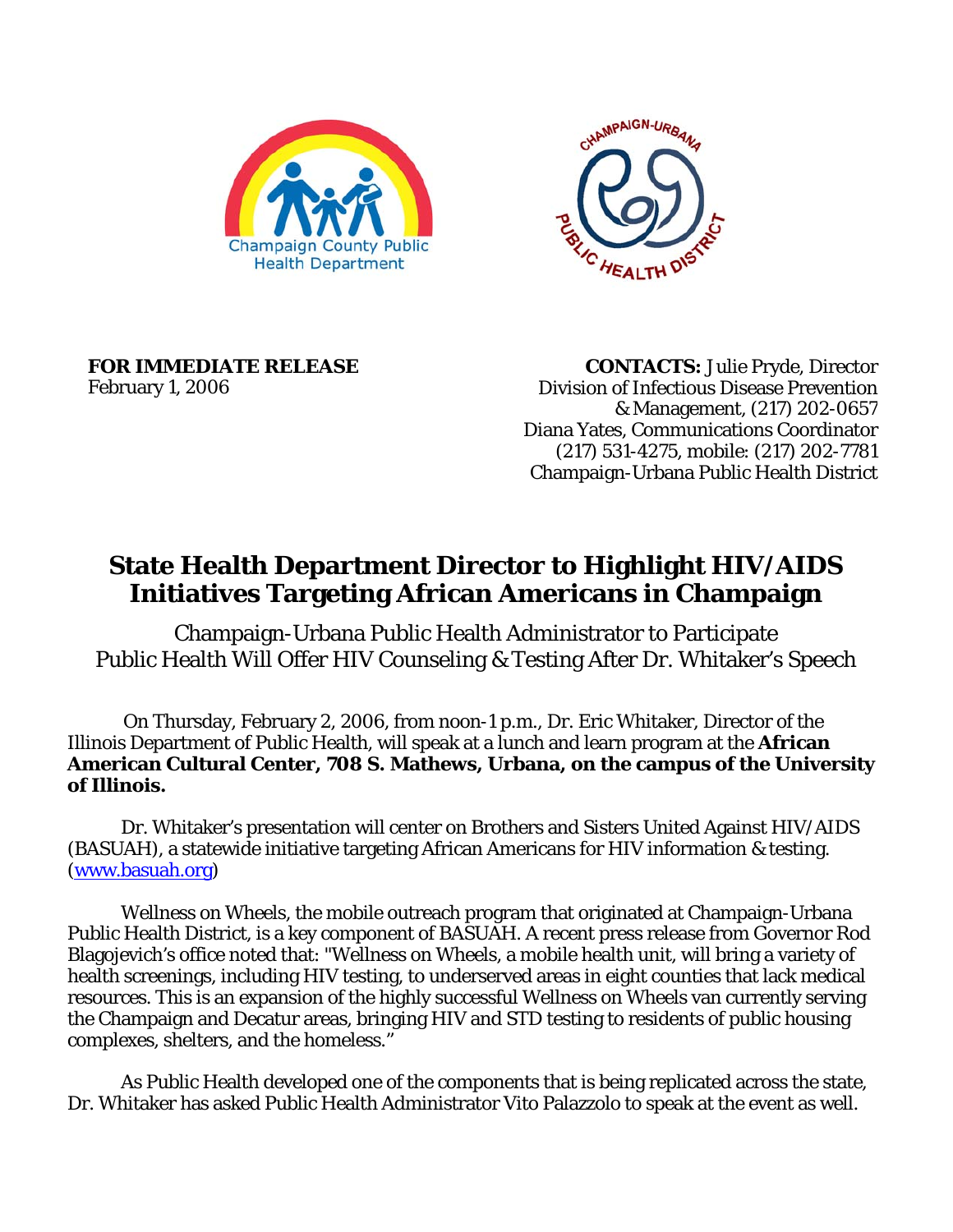



**FOR IMMEDIATE RELEASE**  February 1, 2006

 **CONTACTS:** Julie Pryde, Director Division of Infectious Disease Prevention & Management, (217) 202-0657 Diana Yates, Communications Coordinator (217) 531-4275, mobile: (217) 202-7781 Champaign-Urbana Public Health District

## **State Health Department Director to Highlight HIV/AIDS Initiatives Targeting African Americans in Champaign**

Champaign-Urbana Public Health Administrator to Participate Public Health Will Offer HIV Counseling & Testing After Dr. Whitaker's Speech

On Thursday, February 2, 2006, from noon-1 p.m., Dr. Eric Whitaker, Director of the Illinois Department of Public Health, will speak at a lunch and learn program at the **African American Cultural Center, 708 S. Mathews, Urbana, on the campus of the University of Illinois.** 

 Dr. Whitaker's presentation will center on Brothers and Sisters United Against HIV/AIDS (BASUAH), a statewide initiative targeting African Americans for HIV information & testing. ([www.basuah.org](http://www.basuah.org))

 Wellness on Wheels, the mobile outreach program that originated at Champaign-Urbana Public Health District, is a key component of BASUAH. A recent press release from Governor Rod Blagojevich's office noted that: "Wellness on Wheels, a mobile health unit, will bring a variety of health screenings, including HIV testing, to underserved areas in eight counties that lack medical resources. This is an expansion of the highly successful Wellness on Wheels van currently serving the Champaign and Decatur areas, bringing HIV and STD testing to residents of public housing complexes, shelters, and the homeless."

 As Public Health developed one of the components that is being replicated across the state, Dr. Whitaker has asked Public Health Administrator Vito Palazzolo to speak at the event as well.